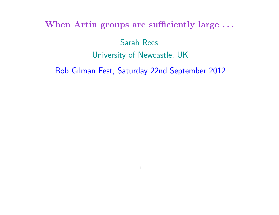When Artin groups are sufficiently large ...

Sarah Rees, , University of Newcastle, UK

Bob Gilman Fest, Saturday 22nd September 2012

1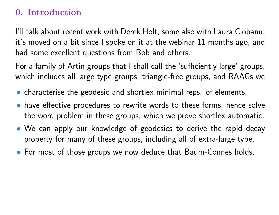# 0. Introduction

I'll talk about recent work with Derek Holt, some also with Laura Ciobanu; it's moved on a bit since I spoke on it at the webinar 11 months ago, and had some excellent questions from Bob and others.

For a family of Artin groups that I shall call the 'sufficiently large' groups, which includes all large type groups, triangle-free groups, and RAAGs we

- characterise the geodesic and shortlex minimal reps. of elements,
- have effective procedures to rewrite words to these forms, hence solve the word problem in these groups, which we prove shortlex automatic.
- We can apply our knowledge of geodesics to derive the rapid decay property for many of these groups, including all of extra-large type.
- For most of those groups we now deduce that Baum-Connes holds.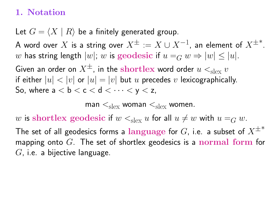### 1. Notation

Let  $G = \langle X | R \rangle$  be a finitely generated group.

A word over  $X$  is a string over  $X^\pm:=X\cup X^{-1}$ , an element of  $X^{\pm*}.$ w has string length  $|w|$ ; w is geodesic if  $u =_G w \Rightarrow |w| \le |u|$ .

Given an order on  $X^{\pm}$ , in the shortlex word order  $u <_{\text{slex}} v$ if either  $|u| < |v|$  or  $|u| = |v|$  but u precedes v lexicographically. So, where  $a < b < c < d < \cdots < y < z$ ,

man  $\leq_{\rm slex}$  woman  $\leq_{\rm slex}$  women.

w is shortlex geodesic if  $w <_{\text{slex}} u$  for all  $u \neq w$  with  $u =_G w$ .

The set of all geodesics forms a language for  $G$ , i.e. a subset of  $X^{\pm*}$ mapping onto  $G$ . The set of shortlex geodesics is a **normal form** for  $G$ , i.e. a bijective language.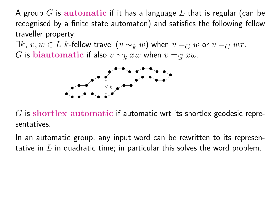A group G is automatic if it has a language L that is regular (can be recognised by a finite state automaton) and satisfies the following fellow traveller property:

 $\exists k, v, w \in L$  k-fellow travel  $(v \sim_k w)$  when  $v = G w$  or  $v = G w x$ . G is biautomatic if also  $v \sim_k xw$  when  $v =_G xw$ .



 $G$  is shortlex automatic if automatic wrt its shortlex geodesic representatives.

In an automatic group, any input word can be rewritten to its representative in  $L$  in quadratic time; in particular this solves the word problem.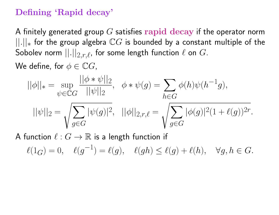### Defining 'Rapid decay'

A finitely generated group  $G$  satisfies rapid decay if the operator norm  $||.||_*$  for the group algebra  $\mathbb{C}G$  is bounded by a constant multiple of the Sobolev norm  $||.||_{2,r,\ell}$ , for some length function  $\ell$  on  $G$ .

We define, for  $\phi \in \mathbb{C}G$ ,

$$
||\phi||_* = \sup_{\psi \in \mathbb{C}G} \frac{||\phi * \psi||_2}{||\psi||_2}, \quad \phi * \psi(g) = \sum_{h \in G} \phi(h)\psi(h^{-1}g),
$$
  

$$
||\psi||_2 = \sqrt{\sum_{g \in G} |\psi(g)|^2}, \quad ||\phi||_{2,r,\ell} = \sqrt{\sum_{g \in G} |\phi(g)|^2 (1 + \ell(g))^{2r}}.
$$

A function  $\ell : G \to \mathbb{R}$  is a length function if

 $\ell(1_G) = 0, \quad \ell(g^{-1}) = \ell(g), \quad \ell(gh) \leq \ell(g) + \ell(h), \quad \forall g, h \in G.$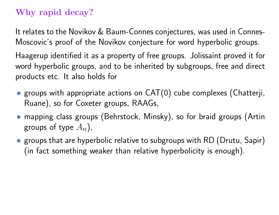# Why rapid decay?

It relates to the Novikov & Baum-Connes conjectures, was used in Connes-Moscovic's proof of the Novikov conjecture for word hyperbolic groups.

Haagerup identified it as a property of free groups. Jolissaint proved it for word hyperbolic groups, and to be inherited by subgroups, free and direct products etc. It also holds for

- groups with appropriate actions on CAT(0) cube complexes (Chatterji, Ruane), so for Coxeter groups, RAAGs,
- mapping class groups (Behrstock, Minsky), so for braid groups (Artin groups of type  $A_n$ ),
- groups that are hyperbolic relative to subgroups with RD (Drutu, Sapir) (in fact something weaker than relative hyperbolicity is enough).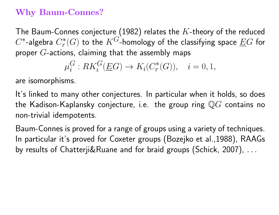### Why Baum-Connes?

The Baum-Connes conjecture (1982) relates the  $K$ -theory of the reduced  $C^*$ -algebra  $C^*_r$  $r^*(G)$  to the  $K^G$ -homology of the classifying space  $\underline{E}G$  for proper  $G$ -actions, claiming that the assembly maps

$$
\mu_i^G: RK_i^G(\underline{E}G) \to K_i(C_r^*(G)), \quad i = 0, 1,
$$

are isomorphisms.

It's linked to many other conjectures. In particular when it holds, so does the Kadison-Kaplansky conjecture, i.e. the group ring  $\mathbb QG$  contains no non-trivial idempotents.

Baum-Connes is proved for a range of groups using a variety of techniques. In particular it's proved for Coxeter groups (Bozejko et al.,1988), RAAGs by results of Chatterji&Ruane and for braid groups (Schick, 2007), ...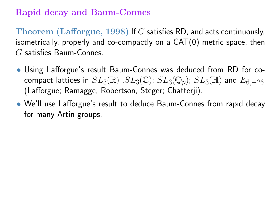### Rapid decay and Baum-Connes

Theorem (Lafforgue, 1998) If G satisfies RD, and acts continuously, isometrically, properly and co-compactly on a CAT(0) metric space, then G satisfies Baum-Connes.

- Using Lafforgue's result Baum-Connes was deduced from RD for cocompact lattices in  $SL_3(\mathbb{R})$  ,  $SL_3(\mathbb{C})$ ;  $SL_3(\mathbb{Q}_p)$ ;  $SL_3(\mathbb{H})$  and  $E_{6,-26}$ (Lafforgue; Ramagge, Robertson, Steger; Chatterji).
- We'll use Lafforgue's result to deduce Baum-Connes from rapid decay for many Artin groups.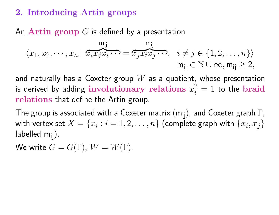### 2. Introducing Artin groups

### An Artin group  $G$  is defined by a presentation

$$
\langle x_1, x_2, \cdots, x_n | \overbrace{x_i x_j x_i \cdots}^{\mathsf{m}_{ij}} = \overbrace{x_j x_i x_j \cdots}^{\mathsf{m}_{ij}}, \quad i \neq j \in \{1, 2, \ldots, n\} \rangle
$$

$$
\mathsf{m}_{ij} \in \mathbb{N} \cup \infty, \mathsf{m}_{ij} \geq 2,
$$

and naturally has a Coxeter group  $W$  as a quotient, whose presentation is derived by adding involutionary relations  $x_i^2=1$  to the braid relations that define the Artin group.

The group is associated with a Coxeter matrix  $(m_{ij})$ , and Coxeter graph  $\Gamma$ , with vertex set  $X=\{x_i:i=1,2,\ldots,n\}$  (complete graph with  $\{x_i,x_j\}$ labelled  $m_{ii}$ ).

We write  $G = G(\Gamma)$ ,  $W = W(\Gamma)$ .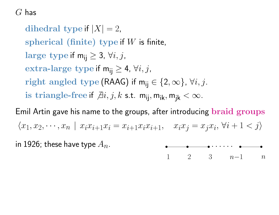$G$  has

dihedral type if  $|X| = 2$ , spherical (finite) type if  $W$  is finite, large type if  $m_{ii} \geq 3$ ,  $\forall i, j$ , extra-large type if  $m_{ii} \geq 4$ ,  $\forall i, j$ , right angled type (RAAG) if  $m_{ii} \in \{2, \infty\}$ ,  $\forall i, j$ . is triangle-free if  $\exists i, j, k$  s.t.  $m_{ij}$ ,  $m_{ik}$ ,  $m_{ik} < \infty$ .

Emil Artin gave his name to the groups, after introducing braid groups  $\langle x_1, x_2, \dots, x_n \mid x_i x_{i+1} x_i = x_{i+1} x_i x_{i+1}, \quad x_i x_j = x_j x_i, \forall i+1 \leq j \rangle$ 

in 1926; these have type  $A_n$ . ✉ ✉ . . . . . . ✉



✉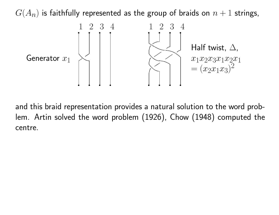$G(A_n)$  is faithfully represented as the group of braids on  $n+1$  strings,



and this braid representation provides a natural solution to the word problem. Artin solved the word problem (1926), Chow (1948) computed the centre.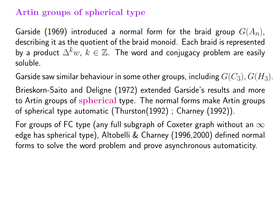### Artin groups of spherical type

Garside (1969) introduced a normal form for the braid group  $G(A_n)$ , describing it as the quotient of the braid monoid. Each braid is represented by a product  $\Delta^k w$ ,  $k \in \mathbb{Z}$ . The word and conjugacy problem are easily soluble.

Garside saw similar behaviour in some other groups, including  $G(C_3), G(H_3).$ 

Brieskorn-Saito and Deligne (1972) extended Garside's results and more to Artin groups of spherical type. The normal forms make Artin groups of spherical type automatic (Thurston(1992) ; Charney (1992)).

For groups of FC type (any full subgraph of Coxeter graph without an  $\infty$ edge has spherical type), Altobelli & Charney (1996,2000) defined normal forms to solve the word problem and prove asynchronous automaticity.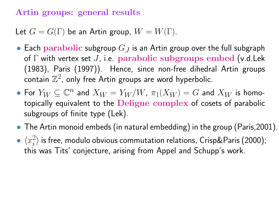### Artin groups: general results

Let  $G = G(\Gamma)$  be an Artin group,  $W = W(\Gamma)$ .

- Each parabolic subgroup  $G_J$  is an Artin group over the full subgraph of  $\Gamma$  with vertex set J, i.e. parabolic subgroups embed (v.d. Lek (1983), Paris (1997)). Hence, since non-free dihedral Artin groups contain  $\mathbb{Z}^2$ , only free Artin groups are word hyperbolic.
- For  $Y_W \subseteq \mathbb{C}^n$  and  $X_W = Y_W/W$ ,  $\pi_1(X_W) = G$  and  $X_W$  is homotopically equivalent to the Deligne complex of cosets of parabolic subgroups of finite type (Lek).
- The Artin monoid embeds (in natural embedding) in the group (Paris, 2001).
- $\bullet \ \langle x_i^2 \rangle$  $\ket{i}$  is free, modulo obvious commutation relations, Crisp&Paris (2000); this was Tits' conjecture, arising from Appel and Schupp's work.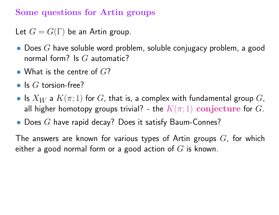### Some questions for Artin groups

Let  $G = G(\Gamma)$  be an Artin group.

- Does  $G$  have soluble word problem, soluble conjugacy problem, a good normal form? Is  $G$  automatic?
- What is the centre of  $G$ ?
- Is  $G$  torsion-free?
- Is  $X_W$  a  $K(\pi;1)$  for  $G$ , that is, a complex with fundamental group  $G$ , all higher homotopy groups trivial? - the  $K(\pi; 1)$  conjecture for G.
- Does  $G$  have rapid decay? Does it satisfy Baum-Connes?

The answers are known for various types of Artin groups  $G$ , for which either a good normal form or a good action of  $G$  is known.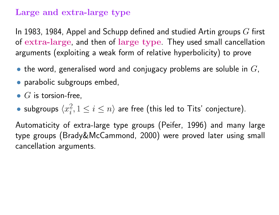### Large and extra-large type

In 1983, 1984, Appel and Schupp defined and studied Artin groups  $G$  first of extra-large, and then of large type. They used small cancellation arguments (exploiting a weak form of relative hyperbolicity) to prove

- the word, generalised word and conjugacy problems are soluble in  $G$ ,
- parabolic subgroups embed,
- $G$  is torsion-free,
- subgroups  $\langle x_i^2 \rangle$  $\{i, 1 \leq i \leq n\}$  are free (this led to Tits' conjecture).

Automaticity of extra-large type groups (Peifer, 1996) and many large type groups (Brady&McCammond, 2000) were proved later using small cancellation arguments.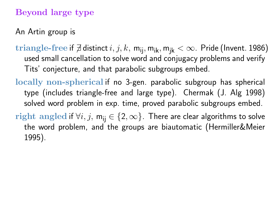# Beyond large type

An Artin group is

- triangle-free if  $\nexists$  distinct  $i, j, k$ , m<sub>ij</sub>, m<sub>ik</sub>, m<sub>ik</sub> <  $\infty$ . Pride (Invent. 1986) used small cancellation to solve word and conjugacy problems and verify Tits' conjecture, and that parabolic subgroups embed.
- locally non-spherical if no 3-gen. parabolic subgroup has spherical type (includes triangle-free and large type). Chermak (J. Alg 1998) solved word problem in exp. time, proved parabolic subgroups embed.
- right angled if  $\forall i, j, m_{ii} \in \{2, \infty\}$ . There are clear algorithms to solve the word problem, and the groups are biautomatic (Hermiller&Meier 1995).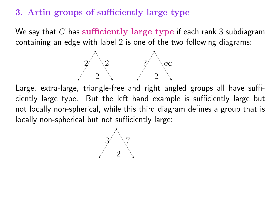#### 3. Artin groups of sufficiently large type

We say that  $G$  has sufficiently large type if each rank 3 subdiagram containing an edge with label 2 is one of the two following diagrams:



Large, extra-large, triangle-free and right angled groups all have sufficiently large type. But the left hand example is sufficiently large but not locally non-spherical, while this third diagram defines a group that is locally non-spherical but not sufficiently large:

 $\overbrace{\hspace{1.5cm}}^{\overbrace{\hspace{1.5cm}}^{\overbrace{\hspace{1.5cm}}^{\overline{\phantom{1}}}}}}$ s ✔ ✔ ✔ ✔ ✔ ✔ ✔ ✔ ❚ ❚ ❚ ❚ ❚ ❚ ❚ ❚ 2  $3/$   $\sqrt{7}$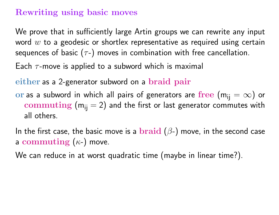## Rewriting using basic moves

We prove that in sufficiently large Artin groups we can rewrite any input word  $w$  to a geodesic or shortlex representative as required using certain sequences of basic  $(\tau$ -) moves in combination with free cancellation.

Each  $\tau$ -move is applied to a subword which is maximal

either as a 2-generator subword on a braid pair

or as a subword in which all pairs of generators are free  $(m_{ii} = \infty)$  or commuting  $(m_{ij} = 2)$  and the first or last generator commutes with all others.

In the first case, the basic move is a  $\bf braid$  ( $\beta$ -) move, in the second case a commuting  $(\kappa$ -) move.

We can reduce in at worst quadratic time (maybe in linear time?).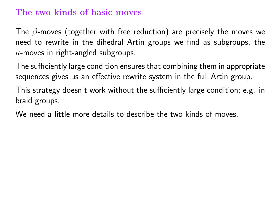#### The two kinds of basic moves

The  $\beta$ -moves (together with free reduction) are precisely the moves we need to rewrite in the dihedral Artin groups we find as subgroups, the  $\kappa$ -moves in right-angled subgroups.

The sufficiently large condition ensures that combining them in appropriate sequences gives us an effective rewrite system in the full Artin group.

This strategy doesn't work without the sufficiently large condition; e.g. in braid groups.

We need a little more details to describe the two kinds of moves.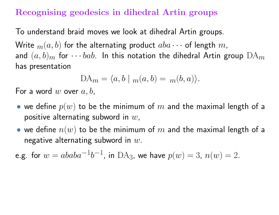### Recognising geodesics in dihedral Artin groups

To understand braid moves we look at dihedral Artin groups.

Write  $m(a, b)$  for the alternating product  $aba \cdots$  of length  $m$ , and  $(a, b)_m$  for  $\cdots$  bab. In this notation the dihedral Artin group  $DA_m$ has presentation

$$
DA_m = \langle a, b \mid m(a, b) = m(b, a) \rangle.
$$

For a word  $w$  over  $a, b$ ,

- we define  $p(w)$  to be the minimum of  $m$  and the maximal length of a positive alternating subword in  $w$ ,
- we define  $n(w)$  to be the minimum of  $m$  and the maximal length of a negative alternating subword in  $w$ .

e.g. for  $w = ababa^{-1}b^{-1}$ , in  $\text{DA}_3$ , we have  $p(w) = 3$ ,  $n(w) = 2$ .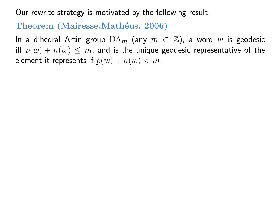Our rewrite strategy is motivated by the following result.

#### Theorem (Mairesse, Mathéus, 2006)

In a dihedral Artin group  $DA_m$  (any  $m \in \mathbb{Z}$ ), a word w is geodesic iff  $p(w) + n(w) \leq m$ , and is the unique geodesic representative of the element it represents if  $p(w) + n(w) < m$ .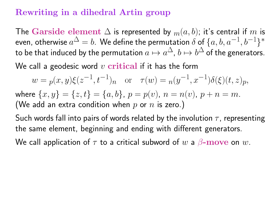## Rewriting in a dihedral Artin group

The Garside element  $\Delta$  is represented by  $m(a, b)$ ; it's central if m is even, otherwise  $a^{\Delta}=b.$  We define the permutation  $\delta$  of  $\{a,b,a^{-1},b^{-1}\}^*$ to be that induced by the permutation  $a\mapsto a^\Delta$ ,  $b\mapsto b^\Delta$  of the generators.

We call a geodesic word  $v$  critical if it has the form

 $w = p(x, y) \xi(z^{-1}, t^{-1})$ <sub>n</sub> or  $\tau(w) = n(y^{-1}, x^{-1}) \delta(\xi)(t, z)$ <sub>p</sub>, where  $\{x, y\} = \{z, t\} = \{a, b\}$ ,  $p = p(v)$ ,  $n = n(v)$ ,  $p + n = m$ . (We add an extra condition when  $p$  or  $n$  is zero.)

Such words fall into pairs of words related by the involution  $\tau$ , representing the same element, beginning and ending with different generators.

We call application of  $\tau$  to a critical subword of  $w$  a  $\beta$ - $\mathbf{move}$  on  $w$ .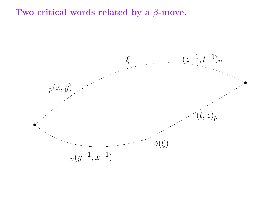#### Two critical words related by a  $\beta$ -move.

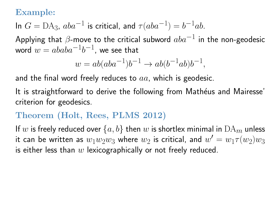### Example:

In 
$$
G = DA_3
$$
,  $aba^{-1}$  is critical, and  $\tau(aba^{-1}) = b^{-1}ab$ .

Applying that  $\beta$ -move to the critical subword  $aba^{-1}$  in the non-geodesic word  $w = ababa^{-1}b^{-1}$ , we see that

$$
w = ab(aba^{-1})b^{-1} \to ab(b^{-1}ab)b^{-1},
$$

and the final word freely reduces to  $aa$ , which is geodesic.

It is straightforward to derive the following from Mathéus and Mairesse' criterion for geodesics.

### Theorem (Holt, Rees, PLMS 2012)

If w is freely reduced over  $\{a, b\}$  then w is shortlex minimal in  $DA_m$  unless it can be written as  $w_1w_2w_3$  where  $w_2$  is critical, and  $w'=w_1\tau(w_2)w_3$ is either less than  $w$  lexicographically or not freely reduced.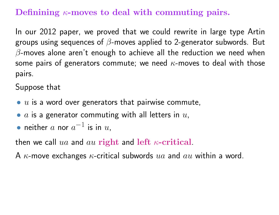# Definining  $\kappa$ -moves to deal with commuting pairs.

In our 2012 paper, we proved that we could rewrite in large type Artin groups using sequences of  $\beta$ -moves applied to 2-generator subwords. But  $\beta$ -moves alone aren't enough to achieve all the reduction we need when some pairs of generators commute; we need  $\kappa$ -moves to deal with those pairs.

Suppose that

- $\bullet$  u is a word over generators that pairwise commute,
- $a$  is a generator commuting with all letters in  $u$ ,
- neither  $a$  nor  $a^{-1}$  is in  $u$ ,

then we call  $ua$  and  $au$  right and left  $\kappa$ -critical.

A  $\kappa$ -move exchanges  $\kappa$ -critical subwords  $ua$  and  $au$  within a word.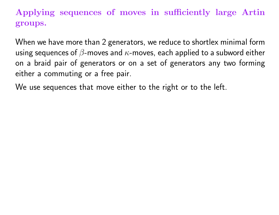# Applying sequences of moves in sufficiently large Artin groups.

When we have more than 2 generators, we reduce to shortlex minimal form using sequences of  $\beta$ -moves and  $\kappa$ -moves, each applied to a subword either on a braid pair of generators or on a set of generators any two forming either a commuting or a free pair.

We use sequences that move either to the right or to the left.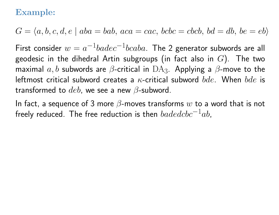### Example:

 $G = \langle a, b, c, d, e \mid aba = bab, aca = cac, bcbc = cbcb, bd = db, be = eb \rangle$ 

First consider  $w=a^{-1}badec^{-1}bcaba$ . The 2 generator subwords are all geodesic in the dihedral Artin subgroups (in fact also in  $G$ ). The two maximal  $a,b$  subwords are  $\beta$ -critical in  $\mathrm{DA} _3$ . Applying a  $\beta$ -move to the leftmost critical subword creates a  $\kappa$ -critical subword  $bde$ . When  $bde$  is transformed to  $deb$ , we see a new  $\beta$ -subword.

In fact, a sequence of 3 more  $\beta$ -moves transforms  $w$  to a word that is not freely reduced. The free reduction is then  $badedebc^{-1}ab$ .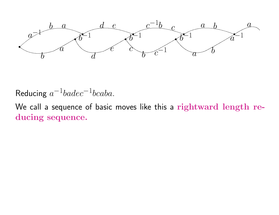

Reducing  $a^{-1}badec^{-1}bcaba$ .

We call a sequence of basic moves like this a rightward length reducing sequence.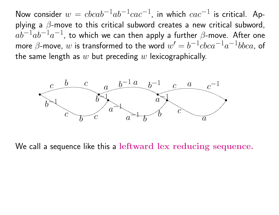Now consider  $w = cbcab^{-1}ab^{-1}cac^{-1}$ , in which  $cac^{-1}$  is critical. Applying a  $\beta$ -move to this critical subword creates a new critical subword,  $\tilde{a} \tilde{b}^{-1} \tilde{a} b^{-1} a^{-1}$ , to which we can then apply a further  $\beta$ -move. After one more  $\beta$ -move,  $w$  is transformed to the word  $w' = b^{-1}cbca^{-1}a^{-1}bbca$ , of the same length as  $w$  but preceding  $w$  lexicographically.



We call a sequence like this a leftward lex reducing sequence.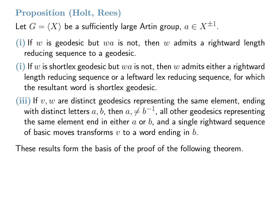## Proposition (Holt, Rees)

Let  $G = \langle X \rangle$  be a sufficiently large Artin group,  $a \in X^{\pm 1}.$ 

- (i) If w is geodesic but  $wa$  is not, then w admits a rightward length reducing sequence to a geodesic.
- (i) If w is shortlex geodesic but  $wa$  is not, then w admits either a rightward length reducing sequence or a leftward lex reducing sequence, for which the resultant word is shortlex geodesic.
- (iii) If  $v, w$  are distinct geodesics representing the same element, ending with distinct letters  $a,b$ , then  $a,\neq b^{-1}$ , all other geodesics representing the same element end in either  $a$  or  $b$ , and a single rightward sequence of basic moves transforms  $v$  to a word ending in  $b$ .

These results form the basis of the proof of the following theorem.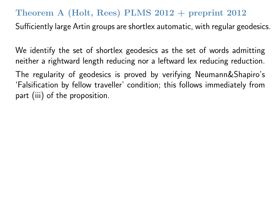#### Theorem A (Holt, Rees) PLMS 2012 + preprint 2012

Sufficiently large Artin groups are shortlex automatic, with regular geodesics.

We identify the set of shortlex geodesics as the set of words admitting neither a rightward length reducing nor a leftward lex reducing reduction.

The regularity of geodesics is proved by verifying Neumann&Shapiro's 'Falsification by fellow traveller' condition; this follows immediately from part (iii) of the proposition.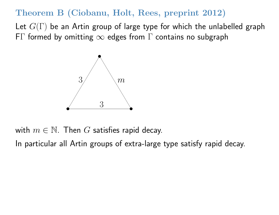### Theorem B (Ciobanu, Holt, Rees, preprint 2012)

Let  $G(\Gamma)$  be an Artin group of large type for which the unlabelled graph F $\Gamma$  formed by omitting  $\infty$  edges from  $\Gamma$  contains no subgraph



with  $m \in \mathbb{N}$ . Then G satisfies rapid decay.

In particular all Artin groups of extra-large type satisfy rapid decay.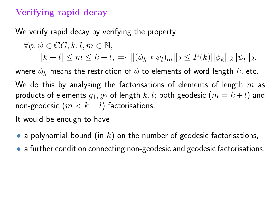# Verifying rapid decay

We verify rapid decay by verifying the property

$$
\forall \phi, \psi \in \mathbb{C} \mathcal{G}, k, l, m \in \mathbb{N},
$$
  
\n
$$
|k - l| \le m \le k + l, \Rightarrow ||(\phi_k * \psi_l)_m||_2 \le P(k)||\phi_k||_2||\psi_l||_2.
$$

where  $\phi_k$  means the restriction of  $\phi$  to elements of word length  $k$ , etc.

We do this by analysing the factorisations of elements of length  $m$  as products of elements  $g_1,g_2$  of length  $k,l$ ; both geodesic  $\left( m=k+l\right)$  and non-geodesic  $(m < k+l)$  factorisations.

It would be enough to have

- a polynomial bound (in  $k$ ) on the number of geodesic factorisations,
- a further condition connecting non-geodesic and geodesic factorisations.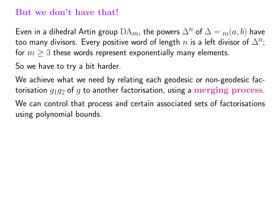#### But we don't have that!

Even in a dihedral Artin group  $DA_m$ , the powers  $\Delta^n$  of  $\Delta = m(a, b)$  have too many divisors. Every positive word of length  $n$  is a left divisor of  $\Delta^n$ ; for  $m \geq 3$  these words represent exponentially many elements.

So we have to try a bit harder.

We achieve what we need by relating each geodesic or non-geodesic factorisation  $q_1q_2$  of q to another factorisation, using a merging process. We can control that process and certain associated sets of factorisations

using polynomial bounds.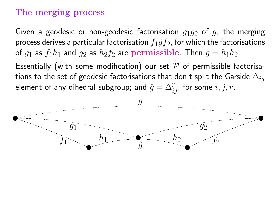### The merging process

Given a geodesic or non-geodesic factorisation  $q_1q_2$  of q, the merging process derives a particular factorisation  $f_1\hat{g}f_2$ , for which the factorisations of  $g_1$  as  $f_1 h_1$  and  $g_2$  as  $h_2 f_2$  are  ${\bf permissible}$ . Then  $\hat g=h_1 h_2$ .

Essentially (with some modification) our set  $\mathcal P$  of permissible factorisations to the set of geodesic factorisations that don't split the Garside  $\Delta_{ij}$ element of any dihedral subgroup; and  $\hat{g} = \Delta_{ij}^r$ , for some  $i, j, r.$ 

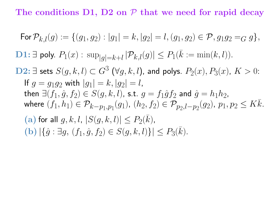The conditions  $D1$ ,  $D2$  on  $P$  that we need for rapid decay

For 
$$
\mathcal{P}_{k,l}(g) := \{(g_1, g_2) : |g_1| = k, |g_2| = l, (g_1, g_2) \in \mathcal{P}, g_1 g_2 =_G g\},
$$
  
\n**D1:**  $\exists$  poly.  $P_1(x) : \sup_{|g|=k+l} |\mathcal{P}_{k,l}(g)| \le P_1(\bar{k} := \min(k, l)).$   
\n**D2:**  $\exists$  sets  $S(g, k, l) \subset G^3$  ( $\forall g, k, l$ ), and polys.  $P_2(x), P_3(x), K > 0$ :  
\nIf  $g = g_1 g_2$  with  $|g_1| = k, |g_2| = l$ ,  
\nthen  $\exists (f_1, \hat{g}, f_2) \in S(g, k, l)$ , s.t.  $g = f_1 \hat{g} f_2$  and  $\hat{g} = h_1 h_2$ ,  
\nwhere  $(f_1, h_1) \in \mathcal{P}_{k-p_1, p_1}(g_1), (h_2, f_2) \in \mathcal{P}_{p_2, l-p_2}(g_2), p_1, p_2 \le K\bar{k}$ .  
\n(a) for all  $g, k, l, |S(g, k, l)| \le P_2(\bar{k})$ ,  
\n(b)  $|\{\hat{g} : \exists g, (f_1, \hat{g}, f_2) \in S(g, k, l)\}| \le P_3(\bar{k})$ .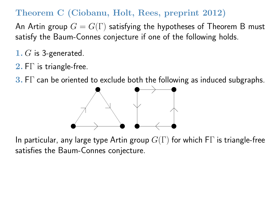# Theorem C (Ciobanu, Holt, Rees, preprint 2012)

An Artin group  $G = G(\Gamma)$  satisfying the hypotheses of Theorem B must satisfy the Baum-Connes conjecture if one of the following holds.

- 1.  $G$  is 3-generated.
- 2.  $FT$  is triangle-free.

**3.** FT can be oriented to exclude both the following as induced subgraphs.



In particular, any large type Artin group  $G(\Gamma)$  for which F $\Gamma$  is triangle-free satisfies the Baum-Connes conjecture.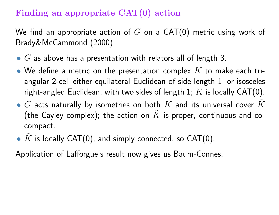# Finding an appropriate CAT(0) action

We find an appropriate action of  $G$  on a CAT(0) metric using work of Brady&McCammond (2000).

- $G$  as above has a presentation with relators all of length 3.
- We define a metric on the presentation complex  $K$  to make each triangular 2-cell either equilateral Euclidean of side length 1, or isosceles right-angled Euclidean, with two sides of length 1;  $K$  is locally CAT(0).
- $G$  acts naturally by isometries on both  $K$  and its universal cover  $K$ (the Cayley complex); the action on  $\tilde{K}$  is proper, continuous and cocompact.
- $K$  is locally CAT(0), and simply connected, so CAT(0).

Application of Lafforgue's result now gives us Baum-Connes.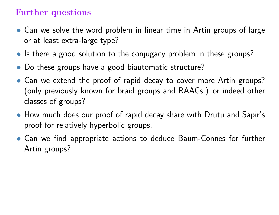### Further questions

- Can we solve the word problem in linear time in Artin groups of large or at least extra-large type?
- Is there a good solution to the conjugacy problem in these groups?
- Do these groups have a good biautomatic structure?
- Can we extend the proof of rapid decay to cover more Artin groups? (only previously known for braid groups and RAAGs.) or indeed other classes of groups?
- How much does our proof of rapid decay share with Drutu and Sapir's proof for relatively hyperbolic groups.
- Can we find appropriate actions to deduce Baum-Connes for further Artin groups?